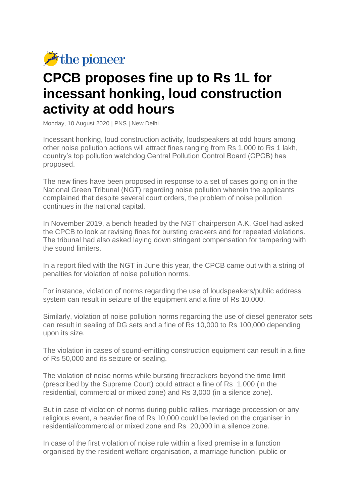

## **CPCB proposes fine up to Rs 1L for incessant honking, loud construction activity at odd hours**

Monday, 10 August 2020 | PNS | New Delhi

Incessant honking, loud construction activity, loudspeakers at odd hours among other noise pollution actions will attract fines ranging from Rs 1,000 to Rs 1 lakh, country's top pollution watchdog Central Pollution Control Board (CPCB) has proposed.

The new fines have been proposed in response to a set of cases going on in the National Green Tribunal (NGT) regarding noise pollution wherein the applicants complained that despite several court orders, the problem of noise pollution continues in the national capital.

In November 2019, a bench headed by the NGT chairperson A.K. Goel had asked the CPCB to look at revising fines for bursting crackers and for repeated violations. The tribunal had also asked laying down stringent compensation for tampering with the sound limiters.

In a report filed with the NGT in June this year, the CPCB came out with a string of penalties for violation of noise pollution norms.

For instance, violation of norms regarding the use of loudspeakers/public address system can result in seizure of the equipment and a fine of Rs 10,000.

Similarly, violation of noise pollution norms regarding the use of diesel generator sets can result in sealing of DG sets and a fine of Rs 10,000 to Rs 100,000 depending upon its size.

The violation in cases of sound-emitting construction equipment can result in a fine of Rs 50,000 and its seizure or sealing.

The violation of noise norms while bursting firecrackers beyond the time limit (prescribed by the Supreme Court) could attract a fine of Rs 1,000 (in the residential, commercial or mixed zone) and Rs 3,000 (in a silence zone).

But in case of violation of norms during public rallies, marriage procession or any religious event, a heavier fine of Rs 10,000 could be levied on the organiser in residential/commercial or mixed zone and Rs 20,000 in a silence zone.

In case of the first violation of noise rule within a fixed premise in a function organised by the resident welfare organisation, a marriage function, public or